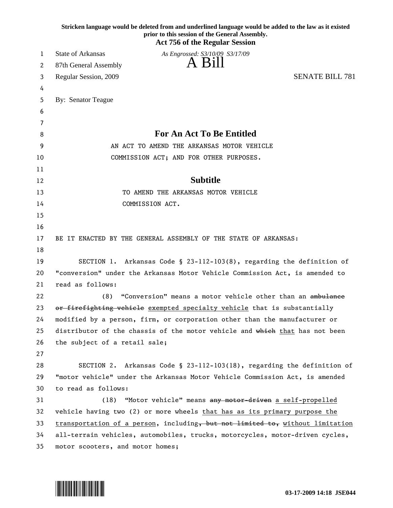|    | Stricken language would be deleted from and underlined language would be added to the law as it existed<br>prior to this session of the General Assembly.<br><b>Act 756 of the Regular Session</b> |                        |
|----|----------------------------------------------------------------------------------------------------------------------------------------------------------------------------------------------------|------------------------|
| 1  | <b>State of Arkansas</b><br>As Engrossed: S3/10/09 S3/17/09                                                                                                                                        |                        |
| 2  | Bill<br>87th General Assembly                                                                                                                                                                      |                        |
| 3  | Regular Session, 2009                                                                                                                                                                              | <b>SENATE BILL 781</b> |
| 4  |                                                                                                                                                                                                    |                        |
| 5  | By: Senator Teague                                                                                                                                                                                 |                        |
| 6  |                                                                                                                                                                                                    |                        |
| 7  |                                                                                                                                                                                                    |                        |
| 8  | For An Act To Be Entitled                                                                                                                                                                          |                        |
| 9  | AN ACT TO AMEND THE ARKANSAS MOTOR VEHICLE                                                                                                                                                         |                        |
| 10 | COMMISSION ACT; AND FOR OTHER PURPOSES.                                                                                                                                                            |                        |
| 11 |                                                                                                                                                                                                    |                        |
| 12 | <b>Subtitle</b>                                                                                                                                                                                    |                        |
| 13 | TO AMEND THE ARKANSAS MOTOR VEHICLE                                                                                                                                                                |                        |
| 14 | COMMISSION ACT.                                                                                                                                                                                    |                        |
| 15 |                                                                                                                                                                                                    |                        |
| 16 |                                                                                                                                                                                                    |                        |
| 17 | BE IT ENACTED BY THE GENERAL ASSEMBLY OF THE STATE OF ARKANSAS:                                                                                                                                    |                        |
| 18 |                                                                                                                                                                                                    |                        |
| 19 | SECTION 1. Arkansas Code § 23-112-103(8), regarding the definition of                                                                                                                              |                        |
| 20 | "conversion" under the Arkansas Motor Vehicle Commission Act, is amended to                                                                                                                        |                        |
| 21 | read as follows:                                                                                                                                                                                   |                        |
| 22 | "Conversion" means a motor vehicle other than an ambulance<br>(8)                                                                                                                                  |                        |
| 23 | or firefighting vehicle exempted specialty vehicle that is substantially                                                                                                                           |                        |
| 24 | modified by a person, firm, or corporation other than the manufacturer or                                                                                                                          |                        |
| 25 | distributor of the chassis of the motor vehicle and which that has not been                                                                                                                        |                        |
| 26 | the subject of a retail sale;                                                                                                                                                                      |                        |
| 27 |                                                                                                                                                                                                    |                        |
| 28 | SECTION 2. Arkansas Code § 23-112-103(18), regarding the definition of                                                                                                                             |                        |
| 29 | "motor vehicle" under the Arkansas Motor Vehicle Commission Act, is amended                                                                                                                        |                        |
| 30 | to read as follows:                                                                                                                                                                                |                        |
| 31 | "Motor vehicle" means any motor-driven a self-propelled<br>(18)                                                                                                                                    |                        |
| 32 | vehicle having two (2) or more wheels that has as its primary purpose the                                                                                                                          |                        |
| 33 | transportation of a person, including, but not limited to, without limitation                                                                                                                      |                        |
| 34 | all-terrain vehicles, automobiles, trucks, motorcycles, motor-driven cycles,                                                                                                                       |                        |
| 35 | motor scooters, and motor homes;                                                                                                                                                                   |                        |

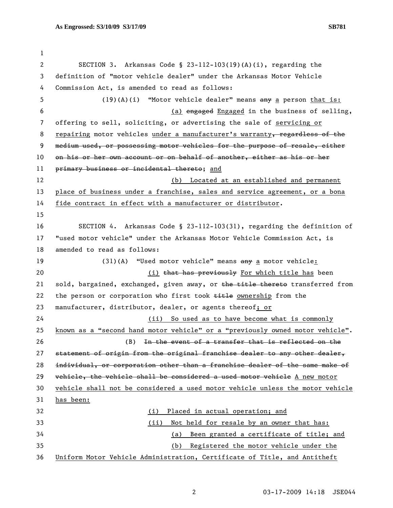1 2 SECTION 3. Arkansas Code § 23-112-103(19)(A)(i), regarding the 3 definition of "motor vehicle dealer" under the Arkansas Motor Vehicle 4 Commission Act, is amended to read as follows: 5 (19)(A)(i) "Motor vehicle dealer" means any a person that is: 6 (a) engaged Engaged in the business of selling, 7 offering to sell, soliciting, or advertising the sale of servicing or 8 repairing motor vehicles under a manufacturer's warranty, regardless of the 9 medium used, or possessing motor vehicles for the purpose of resale, either 10 on his or her own account or on behalf of another, either as his or her 11 primary business or incidental thereto; and 12 (b) Located at an established and permanent 13 place of business under a franchise, sales and service agreement, or a bona 14 fide contract in effect with a manufacturer or distributor. 15 16 SECTION 4. Arkansas Code § 23-112-103(31), regarding the definition of 17 "used motor vehicle" under the Arkansas Motor Vehicle Commission Act, is 18 amended to read as follows: 19 (31)(A) "Used motor vehicle" means  $\frac{a}{b}$  a motor vehicle: 20 **Ehat has previously** For which title has been 21 sold, bargained, exchanged, given away, or the title thereto transferred from 22 the person or corporation who first took  $t$ itle ownership from the 23 manufacturer, distributor, dealer, or agents thereof; or 24 (ii) So used as to have become what is commonly 25 known as a "second hand motor vehicle" or a "previously owned motor vehicle". 26 (B) In the event of a transfer that is reflected on the 27 statement of origin from the original franchise dealer to any other dealer, 28 individual, or corporation other than a franchise dealer of the same make of 29 vehicle, the vehicle shall be considered a used motor vehicle A new motor 30 vehicle shall not be considered a used motor vehicle unless the motor vehicle 31 has been: 32 (i) Placed in actual operation; and 33 (ii) Not held for resale by an owner that has: 34 (a) Been granted a certificate of title; and 35 (b) Registered the motor vehicle under the 36 Uniform Motor Vehicle Administration, Certificate of Title, and Antitheft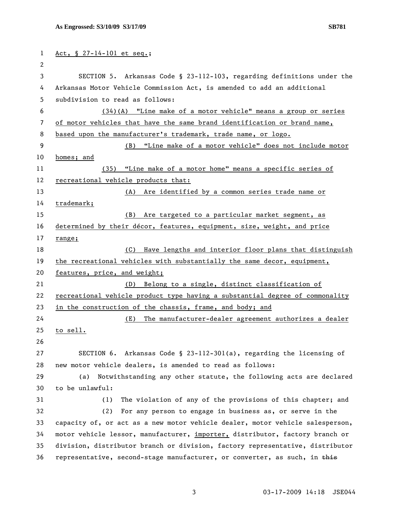| 1  | Act, § 27-14-101 et seq.;                                                     |
|----|-------------------------------------------------------------------------------|
| 2  |                                                                               |
| 3  | SECTION 5. Arkansas Code § 23-112-103, regarding definitions under the        |
| 4  | Arkansas Motor Vehicle Commission Act, is amended to add an additional        |
| 5  | subdivision to read as follows:                                               |
| 6  | $(34)(A)$ "Line make of a motor vehicle" means a group or series              |
| 7  | of motor vehicles that have the same brand identification or brand name,      |
| 8  | based upon the manufacturer's trademark, trade name, or logo.                 |
| 9  | (B) "Line make of a motor vehicle" does not include motor                     |
| 10 | homes; and                                                                    |
| 11 | (35) "Line make of a motor home" means a specific series of                   |
| 12 | recreational vehicle products that:                                           |
| 13 | (A) Are identified by a common series trade name or                           |
| 14 | trademark;                                                                    |
| 15 | (B)<br>Are targeted to a particular market segment, as                        |
| 16 | determined by their décor, features, equipment, size, weight, and price       |
| 17 | range;                                                                        |
| 18 | Have lengths and interior floor plans that distinguish<br>(C)                 |
| 19 | the recreational vehicles with substantially the same decor, equipment,       |
| 20 | features, price, and weight;                                                  |
| 21 | (D) Belong to a single, distinct classification of                            |
| 22 | recreational vehicle product type having a substantial degree of commonality  |
| 23 | in the construction of the chassis, frame, and body; and                      |
| 24 | The manufacturer-dealer agreement authorizes a dealer<br>(E)                  |
| 25 | to sell.                                                                      |
| 26 |                                                                               |
| 27 | SECTION 6. Arkansas Code § 23-112-301(a), regarding the licensing of          |
| 28 | new motor vehicle dealers, is amended to read as follows:                     |
| 29 | Notwithstanding any other statute, the following acts are declared<br>(a)     |
| 30 | to be unlawful:                                                               |
| 31 | The violation of any of the provisions of this chapter; and<br>(1)            |
| 32 | (2)<br>For any person to engage in business as, or serve in the               |
| 33 | capacity of, or act as a new motor vehicle dealer, motor vehicle salesperson, |
| 34 | motor vehicle lessor, manufacturer, importer, distributor, factory branch or  |
| 35 | division, distributor branch or division, factory representative, distributor |
| 36 | representative, second-stage manufacturer, or converter, as such, in this     |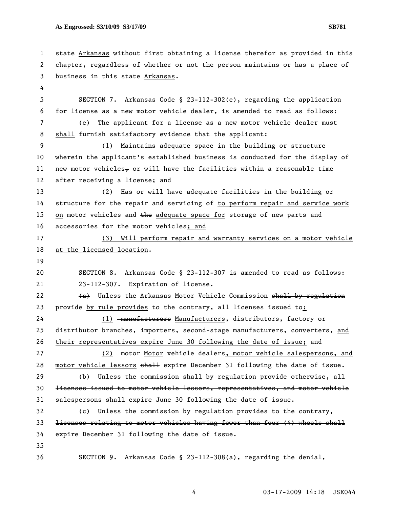1 state Arkansas without first obtaining a license therefor as provided in this 2 chapter, regardless of whether or not the person maintains or has a place of 3 business in this state Arkansas. 4 5 SECTION 7. Arkansas Code § 23-112-302(e), regarding the application 6 for license as a new motor vehicle dealer, is amended to read as follows: 7 (e) The applicant for a license as a new motor vehicle dealer must 8 shall furnish satisfactory evidence that the applicant: 9 (1) Maintains adequate space in the building or structure 10 wherein the applicant's established business is conducted for the display of 11 new motor vehicles, or will have the facilities within a reasonable time 12 after receiving a license; and 13 (2) Has or will have adequate facilities in the building or 14 structure for the repair and servicing of to perform repair and service work 15 on motor vehicles and the adequate space for storage of new parts and 16 accessories for the motor vehicles; and 17 (3) Will perform repair and warranty services on a motor vehicle 18 at the licensed location. 19 20 SECTION 8. Arkansas Code § 23-112-307 is amended to read as follows: 21 23-112-307. Expiration of license. 22  $(a)$  Unless the Arkansas Motor Vehicle Commission shall by regulation 23 provide by rule provides to the contrary, all licenses issued to: 24 (1) manufacturers Manufacturers, distributors, factory or 25 distributor branches, importers, second-stage manufacturers, converters, and 26 their representatives expire June 30 following the date of issue; and 27 (2) motor Motor vehicle dealers, motor vehicle salespersons, and 28 motor vehicle lessors shall expire December 31 following the date of issue. 29 (b) Unless the commission shall by regulation provide otherwise, all 30 licenses issued to motor vehicle lessors, representatives, and motor vehicle 31 salespersons shall expire June 30 following the date of issue.  $32$  (e) Unless the commission by regulation provides to the contrary, 33 licenses relating to motor vehicles having fewer than four (4) wheels shall 34 expire December 31 following the date of issue. 35 36 SECTION 9. Arkansas Code § 23-112-308(a), regarding the denial,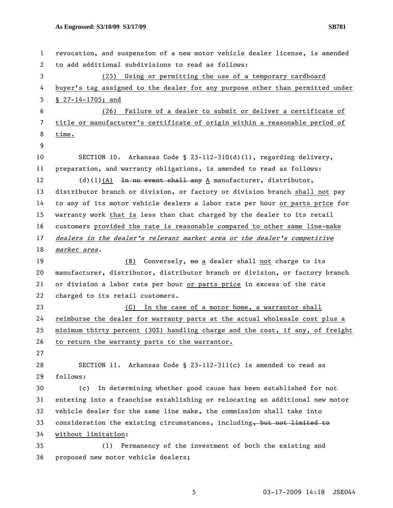| 1  | revocation, and suspension of a new motor vehicle dealer license, is amended  |
|----|-------------------------------------------------------------------------------|
| 2  | to add additional subdivisions to read as follows:                            |
| 3  | (25) Using or permitting the use of a temporary cardboard                     |
| 4  | buyer's tag assigned to the dealer for any purpose other than permitted under |
| 5  | § $27-14-1705$ ; and                                                          |
| 6  | Failure of a dealer to submit or deliver a certificate of<br>(26)             |
| 7  | title or manufacturer's certificate of origin within a reasonable period of   |
| 8  | time.                                                                         |
| 9  |                                                                               |
| 10 | SECTION 10. Arkansas Code § 23-112-310(d)(1), regarding delivery,             |
| 11 | preparation, and warranty obligations, is amended to read as follows:         |
| 12 | $(d)(1)(A)$ In no event shall any A manufacturer, distributor,                |
| 13 | distributor branch or division, or factory or division branch shall not pay   |
| 14 | to any of its motor vehicle dealers a labor rate per hour or parts price for  |
| 15 | warranty work that is less than that charged by the dealer to its retail      |
| 16 | customers provided the rate is reasonable compared to other same line-make    |
| 17 | dealers in the dealer's relevant market area or the dealer's competitive      |
| 18 | market area.                                                                  |
| 19 | (B) Conversely, no a dealer shall not charge to its                           |
| 20 | manufacturer, distributor, distributor branch or division, or factory branch  |
| 21 | or division a labor rate per hour or parts price in excess of the rate        |
| 22 | charged to its retail customers.                                              |
| 23 | (C) In the case of a motor home, a warrantor shall                            |
| 24 | reimburse the dealer for warranty parts at the actual wholesale cost plus a   |
| 25 | minimum thirty percent (30%) handling charge and the cost, if any, of freight |
| 26 | to return the warranty parts to the warrantor.                                |
| 27 |                                                                               |
| 28 | SECTION 11. Arkansas Code § 23-112-311(c) is amended to read as               |
| 29 | follows:                                                                      |
| 30 | In determining whether good cause has been established for not<br>(c)         |
| 31 | entering into a franchise establishing or relocating an additional new motor  |
| 32 | vehicle dealer for the same line make, the commission shall take into         |
| 33 | consideration the existing circumstances, including, but not limited to       |
| 34 | without limitation:                                                           |
| 35 | Permanency of the investment of both the existing and<br>(1)                  |
| 36 | proposed new motor vehicle dealers;                                           |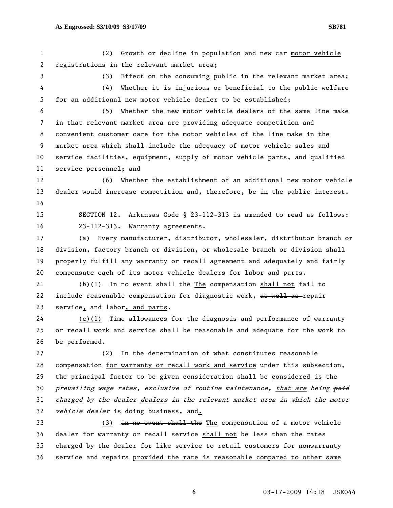1 (2) Growth or decline in population and new ear motor vehicle 2 registrations in the relevant market area;

3 (3) Effect on the consuming public in the relevant market area; 4 (4) Whether it is injurious or beneficial to the public welfare 5 for an additional new motor vehicle dealer to be established;

6 (5) Whether the new motor vehicle dealers of the same line make 7 in that relevant market area are providing adequate competition and 8 convenient customer care for the motor vehicles of the line make in the 9 market area which shall include the adequacy of motor vehicle sales and 10 service facilities, equipment, supply of motor vehicle parts, and qualified 11 service personnel; and

12 (6) Whether the establishment of an additional new motor vehicle 13 dealer would increase competition and, therefore, be in the public interest. 14

15 SECTION 12. Arkansas Code § 23-112-313 is amended to read as follows: 16 23-112-313. Warranty agreements.

17 (a) Every manufacturer, distributor, wholesaler, distributor branch or 18 division, factory branch or division, or wholesale branch or division shall 19 properly fulfill any warranty or recall agreement and adequately and fairly 20 compensate each of its motor vehicle dealers for labor and parts.

21 (b) $(1)$  In no event shall the The compensation shall not fail to 22 include reasonable compensation for diagnostic work, as well as repair 23 service, and labor, and parts.

24 (c)(1) Time allowances for the diagnosis and performance of warranty 25 or recall work and service shall be reasonable and adequate for the work to 26 be performed.

27 (2) In the determination of what constitutes reasonable 28 compensation for warranty or recall work and service under this subsection, 29 the principal factor to be given consideration shall be considered is the 30 prevailing wage rates, exclusive of routine maintenance, that are being paid 31 charged by the dealer dealers in the relevant market area in which the motor 32 vehicle dealer is doing business, and.

33 (3) in no event shall the The compensation of a motor vehicle 34 dealer for warranty or recall service shall not be less than the rates 35 charged by the dealer for like service to retail customers for nonwarranty 36 service and repairs provided the rate is reasonable compared to other same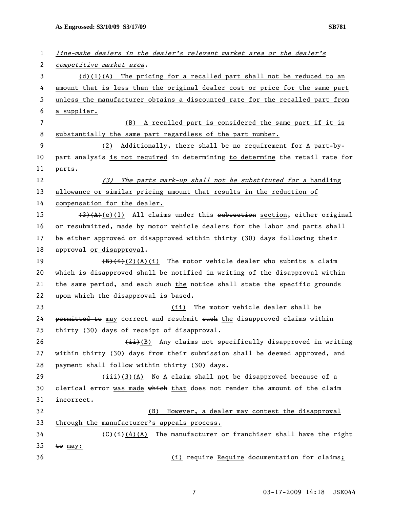| 1  | line-make dealers in the dealer's relevant market area or the dealer's                           |
|----|--------------------------------------------------------------------------------------------------|
| 2  | competitive market area.                                                                         |
| 3  | $(d)(1)(A)$ The pricing for a recalled part shall not be reduced to an                           |
| 4  | amount that is less than the original dealer cost or price for the same part                     |
| 5  | unless the manufacturer obtains a discounted rate for the recalled part from                     |
| 6  | a supplier.                                                                                      |
| 7  | A recalled part is considered the same part if it is<br>(B)                                      |
| 8  | substantially the same part regardless of the part number.                                       |
| 9  | Additionally, there shall be no requirement for A part-by-<br>(2)                                |
| 10 | part analysis is not required in determining to determine the retail rate for                    |
| 11 | parts.                                                                                           |
| 12 | The parts mark-up shall not be substituted for a handling<br>(3)                                 |
| 13 | allowance or similar pricing amount that results in the reduction of                             |
| 14 | compensation for the dealer.                                                                     |
| 15 | $(3)$ (A)(e)(1) All claims under this subsection section, either original                        |
| 16 | or resubmitted, made by motor vehicle dealers for the labor and parts shall                      |
| 17 | be either approved or disapproved within thirty (30) days following their                        |
| 18 | approval or disapproval.                                                                         |
| 19 | $(\frac{1}{2})(1)$ (2)(A)(i) The motor vehicle dealer who submits a claim                        |
| 20 | which is disapproved shall be notified in writing of the disapproval within                      |
| 21 | the same period, and each such the notice shall state the specific grounds                       |
| 22 | upon which the disapproval is based.                                                             |
| 23 | The motor vehicle dealer shall be<br>(ii)                                                        |
| 24 | permitted to may correct and resubmit such the disapproved claims within                         |
| 25 | thirty (30) days of receipt of disapproval.                                                      |
| 26 | $\overline{4i})$ (B) Any claims not specifically disapproved in writing                          |
| 27 | within thirty (30) days from their submission shall be deemed approved, and                      |
| 28 | payment shall follow within thirty (30) days.                                                    |
| 29 | $\overbrace{\text{1} \text{1} \text{1}}$ (3)(A) No A claim shall not be disapproved because of a |
| 30 | clerical error was made which that does not render the amount of the claim                       |
| 31 | incorrect.                                                                                       |
| 32 | However, a dealer may contest the disapproval<br>(B)                                             |
| 33 | through the manufacturer's appeals process.                                                      |
| 34 | $\overline{(6)(i)}$ (4) (A) The manufacturer or franchiser shall have the right                  |
| 35 | to may:                                                                                          |
| 36 | (i) require Require documentation for claims;                                                    |

7 03-17-2009 14:18 JSE044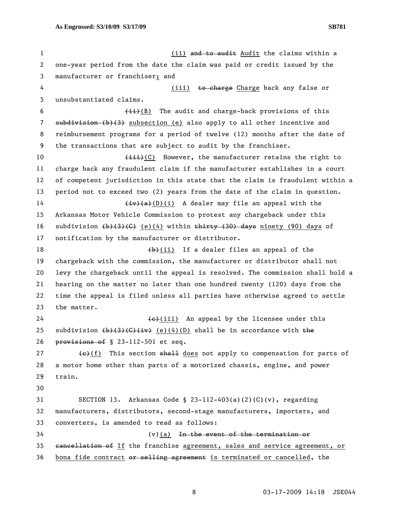1 (ii) and to audit Audit the claims within a 2 one-year period from the date the claim was paid or credit issued by the 3 manufacturer or franchiser; and 4 (iii) to charge Charge back any false or 5 unsubstantiated claims. 6  $\leftarrow$   $\leftarrow$   $\leftarrow$   $\leftarrow$   $\leftarrow$   $\leftarrow$   $\leftarrow$   $\leftarrow$   $\leftarrow$   $\leftarrow$   $\leftarrow$   $\leftarrow$   $\leftarrow$   $\leftarrow$   $\leftarrow$   $\leftarrow$   $\leftarrow$   $\leftarrow$   $\leftarrow$   $\leftarrow$   $\leftarrow$   $\leftarrow$   $\leftarrow$   $\leftarrow$   $\leftarrow$   $\leftarrow$   $\leftarrow$   $\leftarrow$   $\leftarrow$   $\leftarrow$   $\leftarrow$   $\leftarrow$   $\leftarrow$   $\leftarrow$   $\leftarrow$   $\leftarrow$   $\left$ 7 subdivision (b)(3) subsection (e) also apply to all other incentive and 8 reimbursement programs for a period of twelve (12) months after the date of 9 the transactions that are subject to audit by the franchiser. 10 (iii)(C) However, the manufacturer retains the right to 11 charge back any fraudulent claim if the manufacturer establishes in a court 12 of competent jurisdiction in this state that the claim is fraudulent within a 13 period not to exceed two (2) years from the date of the claim in question. 14  $\left(\frac{iv}{a}\right)(a)(b)$  A dealer may file an appeal with the 15 Arkansas Motor Vehicle Commission to protest any chargeback under this 16 subdivision  $(b)$ (3)(C) (e)(4) within thirty (30) days ninety (90) days of 17 notification by the manufacturer or distributor. 18  $\left(\frac{b}{c}\right)$  (ii) If a dealer files an appeal of the 19 chargeback with the commission, the manufacturer or distributor shall not 20 levy the chargeback until the appeal is resolved. The commission shall hold a 21 hearing on the matter no later than one hundred twenty (120) days from the 22 time the appeal is filed unless all parties have otherwise agreed to settle 23 the matter. 24  $\leftarrow$  (iii) An appeal by the licensee under this 25 subdivision  $(b)(3)(6)+(4)$  (e)(4)(D) shall be in accordance with the 26 provisions of § 23-112-501 et seq. 27  $\left\{\frac{e}{f}\right\}$  This section shall does not apply to compensation for parts of 28 a motor home other than parts of a motorized chassis, engine, and power 29 train. 30 31 SECTION 13. Arkansas Code § 23-112-403(a)(2)(C)(v), regarding 32 manufacturers, distributors, second-stage manufacturers, importers, and 33 converters, is amended to read as follows:  $34$  (v)(a) <del>In the event of the termination or</del> 35 cancellation of If the franchise agreement, sales and service agreement, or

36 bona fide contract or selling agreement is terminated or cancelled, the

8 03-17-2009 14:18 JSE044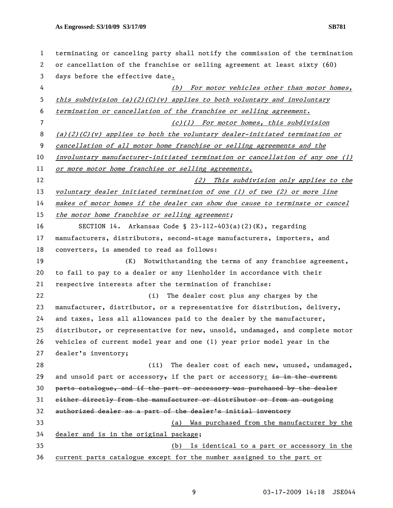| $\mathbf{1}$   | terminating or canceling party shall notify the commission of the termination |
|----------------|-------------------------------------------------------------------------------|
| 2              | or cancellation of the franchise or selling agreement at least sixty (60)     |
| 3              | days before the effective date.                                               |
| 4              | (b) For motor vehicles other than motor homes,                                |
| 5              | this subdivision (a)(2)(C)(v) applies to both voluntary and involuntary       |
| 6              | termination or cancellation of the franchise or selling agreement.            |
| $\overline{7}$ | (c)(1) For motor homes, this subdivision                                      |
| 8              | (a)(2)(C)(v) applies to both the voluntary dealer-initiated termination or    |
| 9              | cancellation of all motor home franchise or selling agreements and the        |
| 10             | involuntary manufacturer-initiated termination or cancellation of any one (1) |
| 11             | or more motor home franchise or selling agreements.                           |
| 12             | (2) This subdivision only applies to the                                      |
| 13             | voluntary dealer initiated termination of one (1) of two (2) or more line     |
| 14             | makes of motor homes if the dealer can show due cause to terminate or cancel  |
| 15             | the motor home franchise or selling agreement;                                |
| 16             | SECTION 14. Arkansas Code § 23-112-403(a)(2)(K), regarding                    |
| 17             | manufacturers, distributors, second-stage manufacturers, importers, and       |
| 18             | converters, is amended to read as follows:                                    |
| 19             | Notwithstanding the terms of any franchise agreement,<br>(K)                  |
| 20             | to fail to pay to a dealer or any lienholder in accordance with their         |
| 21             | respective interests after the termination of franchise:                      |
| 22             | The dealer cost plus any charges by the<br>(i)                                |
| 23             | manufacturer, distributor, or a representative for distribution, delivery,    |
| 24             | and taxes, less all allowances paid to the dealer by the manufacturer,        |
| 25             | distributor, or representative for new, unsold, undamaged, and complete motor |
| 26             | vehicles of current model year and one (1) year prior model year in the       |
| 27             | dealer's inventory;                                                           |
| 28             | (ii)<br>The dealer cost of each new, unused, undamaged,                       |
| 29             | and unsold part or accessory, if the part or accessory: is in the current     |
| 30             | parts catalogue, and if the part or accessory was purchased by the dealer     |
| 31             | either directly from the manufacturer or distributor or from an outgoing      |
| 32             | authorized dealer as a part of the dealer's initial inventory                 |
| 33             | (a) Was purchased from the manufacturer by the                                |
| 34             | dealer and is in the original package;                                        |
| 35             | (b) Is identical to a part or accessory in the                                |
| 36             | current parts catalogue except for the number assigned to the part or         |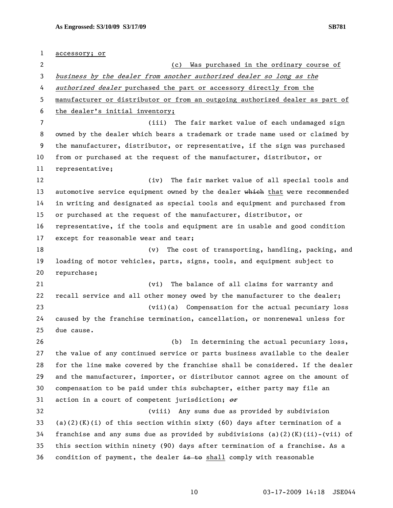1 accessory; or 2 (c) Was purchased in the ordinary course of 3 business by the dealer from another authorized dealer so long as the 4 authorized dealer purchased the part or accessory directly from the 5 manufacturer or distributor or from an outgoing authorized dealer as part of 6 the dealer's initial inventory; 7 (iii) The fair market value of each undamaged sign 8 owned by the dealer which bears a trademark or trade name used or claimed by 9 the manufacturer, distributor, or representative, if the sign was purchased 10 from or purchased at the request of the manufacturer, distributor, or 11 representative; 12 (iv) The fair market value of all special tools and 13 automotive service equipment owned by the dealer which that were recommended 14 in writing and designated as special tools and equipment and purchased from 15 or purchased at the request of the manufacturer, distributor, or 16 representative, if the tools and equipment are in usable and good condition 17 except for reasonable wear and tear; 18 (v) The cost of transporting, handling, packing, and 19 loading of motor vehicles, parts, signs, tools, and equipment subject to 20 repurchase; 21 (vi) The balance of all claims for warranty and 22 recall service and all other money owed by the manufacturer to the dealer; 23 (vii)(a) Compensation for the actual pecuniary loss 24 caused by the franchise termination, cancellation, or nonrenewal unless for 25 due cause. 26 (b) In determining the actual pecuniary loss, 27 the value of any continued service or parts business available to the dealer 28 for the line make covered by the franchise shall be considered. If the dealer 29 and the manufacturer, importer, or distributor cannot agree on the amount of 30 compensation to be paid under this subchapter, either party may file an 31 action in a court of competent jurisdiction;  $\theta$ r 32 (viii) Any sums due as provided by subdivision 33 (a)(2)(K)(i) of this section within sixty (60) days after termination of a 34 franchise and any sums due as provided by subdivisions (a)(2)(K)(ii)-(vii) of 35 this section within ninety (90) days after termination of a franchise. As a 36 condition of payment, the dealer  $\frac{1}{2}$  to shall comply with reasonable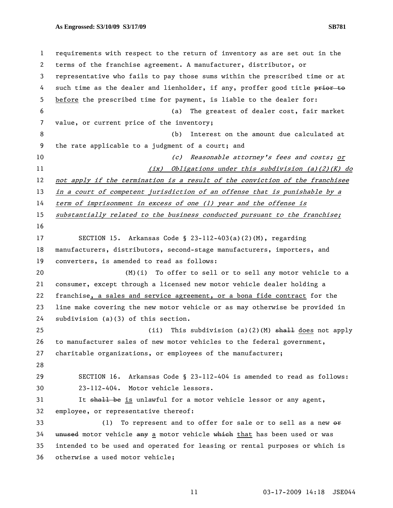1 requirements with respect to the return of inventory as are set out in the 2 terms of the franchise agreement. A manufacturer, distributor, or 3 representative who fails to pay those sums within the prescribed time or at 4 such time as the dealer and lienholder, if any, proffer good title prior to 5 before the prescribed time for payment, is liable to the dealer for: 6 (a) The greatest of dealer cost, fair market 7 value, or current price of the inventory; 8 (b) Interest on the amount due calculated at 9 the rate applicable to a judgment of a court; and 10 (c) Reasonable attorney's fees and costs; or 11 (ix) Obligations under this subdivision (a)(2)(K) do 12 not apply if the termination is a result of the conviction of the franchisee 13 in a court of competent jurisdiction of an offense that is punishable by a 14 term of imprisonment in excess of one (1) year and the offense is 15 substantially related to the business conducted pursuant to the franchise; 16 17 SECTION 15. Arkansas Code § 23-112-403(a)(2)(M), regarding 18 manufacturers, distributors, second-stage manufacturers, importers, and 19 converters, is amended to read as follows: 20 (M)(i) To offer to sell or to sell any motor vehicle to a 21 consumer, except through a licensed new motor vehicle dealer holding a 22 franchise, a sales and service agreement, or a bona fide contract for the 23 line make covering the new motor vehicle or as may otherwise be provided in 24 subdivision (a)(3) of this section. 25 (ii) This subdivision (a)(2)(M) <del>shall</del> does not apply 26 to manufacturer sales of new motor vehicles to the federal government, 27 charitable organizations, or employees of the manufacturer; 28 29 SECTION 16. Arkansas Code § 23-112-404 is amended to read as follows: 30 23-112-404. Motor vehicle lessors. 31 It shall be is unlawful for a motor vehicle lessor or any agent, 32 employee, or representative thereof: 33 (1) To represent and to offer for sale or to sell as a new  $\Theta$ r 34 unused motor vehicle any a motor vehicle which that has been used or was 35 intended to be used and operated for leasing or rental purposes or which is 36 otherwise a used motor vehicle;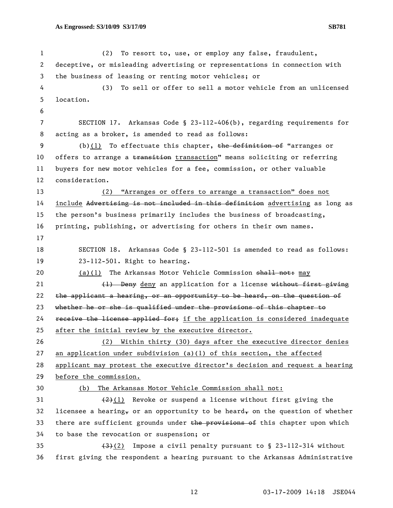1 (2) To resort to, use, or employ any false, fraudulent, 2 deceptive, or misleading advertising or representations in connection with 3 the business of leasing or renting motor vehicles; or 4 (3) To sell or offer to sell a motor vehicle from an unlicensed 5 location. 6 7 SECTION 17. Arkansas Code § 23-112-406(b), regarding requirements for 8 acting as a broker, is amended to read as follows: 9 (b)(1) To effectuate this chapter, the definition of "arranges or 10 offers to arrange a transition transaction" means soliciting or referring 11 buyers for new motor vehicles for a fee, commission, or other valuable 12 consideration. 13 (2) "Arranges or offers to arrange a transaction" does not 14 include Advertising is not included in this definition advertising as long as 15 the person's business primarily includes the business of broadcasting, 16 printing, publishing, or advertising for others in their own names. 17 18 SECTION 18. Arkansas Code § 23-112-501 is amended to read as follows: 19 23-112-501. Right to hearing. 20 (a)(1) The Arkansas Motor Vehicle Commission shall not: may 21 (1) Deny deny an application for a license without first giving 22 the applicant a hearing, or an opportunity to be heard, on the question of 23 whether he or she is qualified under the provisions of this chapter to 24 receive the license applied for; if the application is considered inadequate 25 after the initial review by the executive director. 26 (2) Within thirty (30) days after the executive director denies 27 an application under subdivision (a)(1) of this section, the affected 28 applicant may protest the executive director's decision and request a hearing 29 before the commission. 30 (b) The Arkansas Motor Vehicle Commission shall not: 31  $(2)(1)$  Revoke or suspend a license without first giving the 32 licensee a hearing, or an opportunity to be heard, on the question of whether 33 there are sufficient grounds under the provisions of this chapter upon which 34 to base the revocation or suspension; or 35  $(3)$  Impose a civil penalty pursuant to § 23-112-314 without 36 first giving the respondent a hearing pursuant to the Arkansas Administrative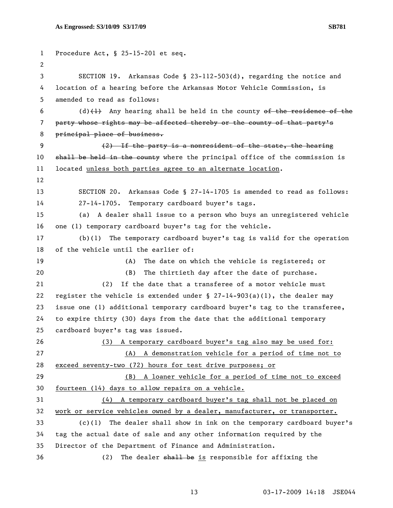```
1 Procedure Act, § 25-15-201 et seq. 
 2 
 3 SECTION 19. Arkansas Code § 23-112-503(d), regarding the notice and 
4 location of a hearing before the Arkansas Motor Vehicle Commission, is 
5 amended to read as follows: 
6 (d)(1) Any hearing shall be held in the county of the residence of the
7 party whose rights may be affected thereby or the county of that party's
8 principal place of business.
9 (2) If the party is a nonresident of the state, the hearing 
10 shall be held in the county where the principal office of the commission is
11 located unless both parties agree to an alternate location. 
12 
13 SECTION 20. Arkansas Code § 27-14-1705 is amended to read as follows: 
14 27-14-1705. Temporary cardboard buyer's tags. 
15 (a) A dealer shall issue to a person who buys an unregistered vehicle 
16 one (1) temporary cardboard buyer's tag for the vehicle. 
17 (b)(1) The temporary cardboard buyer's tag is valid for the operation 
18 of the vehicle until the earlier of: 
19 (A) The date on which the vehicle is registered; or 
20 (B) The thirtieth day after the date of purchase. 
21 (2) If the date that a transferee of a motor vehicle must 
22 register the vehicle is extended under \S 27-14-903(a)(1), the dealer may
23 issue one (1) additional temporary cardboard buyer's tag to the transferee, 
24 to expire thirty (30) days from the date that the additional temporary 
25 cardboard buyer's tag was issued. 
26 (3) A temporary cardboard buyer's tag also may be used for:
27 (A) A demonstration vehicle for a period of time not to 
28 exceed seventy-two (72) hours for test drive purposes; or
29 (B) A loaner vehicle for a period of time not to exceed 
30 fourteen (14) days to allow repairs on a vehicle.
31 (4) A temporary cardboard buyer's tag shall not be placed on 
32 work or service vehicles owned by a dealer, manufacturer, or transporter.
33 (c)(1) The dealer shall show in ink on the temporary cardboard buyer's 
34 tag the actual date of sale and any other information required by the 
35 Director of the Department of Finance and Administration. 
36 (2) The dealer shall be is responsible for affixing the
```

```
 13 03-17-2009 14:18 JSE044
```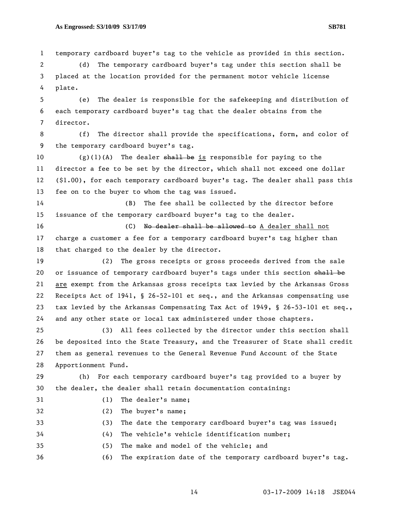1 temporary cardboard buyer's tag to the vehicle as provided in this section. 2 (d) The temporary cardboard buyer's tag under this section shall be 3 placed at the location provided for the permanent motor vehicle license 4 plate.

5 (e) The dealer is responsible for the safekeeping and distribution of 6 each temporary cardboard buyer's tag that the dealer obtains from the 7 director.

8 (f) The director shall provide the specifications, form, and color of 9 the temporary cardboard buyer's tag.

10 (g)(1)(A) The dealer  $\frac{1}{2}$  be is responsible for paying to the 11 director a fee to be set by the director, which shall not exceed one dollar 12 (\$1.00), for each temporary cardboard buyer's tag. The dealer shall pass this 13 fee on to the buyer to whom the tag was issued.

14 (B) The fee shall be collected by the director before 15 issuance of the temporary cardboard buyer's tag to the dealer.

16 (C) No dealer shall be allowed to A dealer shall not 17 charge a customer a fee for a temporary cardboard buyer's tag higher than 18 that charged to the dealer by the director.

19 (2) The gross receipts or gross proceeds derived from the sale 20 or issuance of temporary cardboard buyer's tags under this section shall be 21 are exempt from the Arkansas gross receipts tax levied by the Arkansas Gross 22 Receipts Act of 1941, § 26-52-101 et seq., and the Arkansas compensating use 23 tax levied by the Arkansas Compensating Tax Act of 1949, § 26-53-101 et seq., 24 and any other state or local tax administered under those chapters.

25 (3) All fees collected by the director under this section shall 26 be deposited into the State Treasury, and the Treasurer of State shall credit 27 them as general revenues to the General Revenue Fund Account of the State 28 Apportionment Fund.

29 (h) For each temporary cardboard buyer's tag provided to a buyer by 30 the dealer, the dealer shall retain documentation containing:

- 
- 31 (1) The dealer's name;
- 
- 32 (2) The buyer's name;

33 (3) The date the temporary cardboard buyer's tag was issued;

- 34 (4) The vehicle's vehicle identification number;
- 35 (5) The make and model of the vehicle; and

36 (6) The expiration date of the temporary cardboard buyer's tag.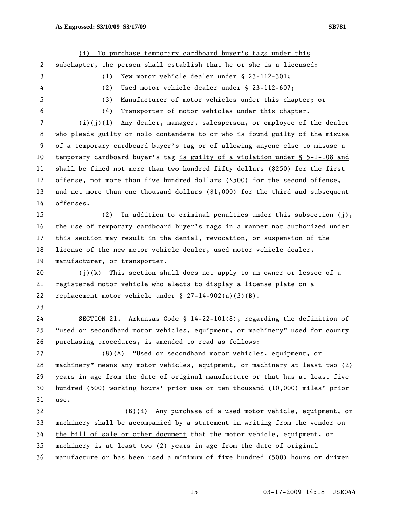| 1  | To purchase temporary cardboard buyer's tags under this<br>(i)                      |
|----|-------------------------------------------------------------------------------------|
| 2  | subchapter, the person shall establish that he or she is a licensed:                |
| 3  | New motor vehicle dealer under § 23-112-301;<br>(1)                                 |
| 4  | Used motor vehicle dealer under § 23-112-607;<br>(2)                                |
| 5  | Manufacturer of motor vehicles under this chapter; or<br>(3)                        |
| 6  | Transporter of motor vehicles under this chapter.<br>(4)                            |
| 7  | $\overline{(+)}$ (j)(l) Any dealer, manager, salesperson, or employee of the dealer |
| 8  | who pleads guilty or nolo contendere to or who is found guilty of the misuse        |
| 9  | of a temporary cardboard buyer's tag or of allowing anyone else to misuse a         |
| 10 | temporary cardboard buyer's tag is guilty of a violation under § 5-1-108 and        |
| 11 | shall be fined not more than two hundred fifty dollars (\$250) for the first        |
| 12 | offense, not more than five hundred dollars (\$500) for the second offense,         |
| 13 | and not more than one thousand dollars (\$1,000) for the third and subsequent       |
| 14 | offenses.                                                                           |
| 15 | In addition to criminal penalties under this subsection (j),<br>(2)                 |
| 16 | the use of temporary cardboard buyer's tags in a manner not authorized under        |
| 17 | this section may result in the denial, revocation, or suspension of the             |
| 18 | license of the new motor vehicle dealer, used motor vehicle dealer,                 |
| 19 | manufacturer, or transporter.                                                       |
| 20 | $\frac{1}{2}(k)$ This section shall does not apply to an owner or lessee of a       |
| 21 | registered motor vehicle who elects to display a license plate on a                 |
| 22 | replacement motor vehicle under $\S$ 27-14-902(a)(3)(B).                            |
| 23 |                                                                                     |
| 24 | SECTION 21. Arkansas Code § $14-22-101(8)$ , regarding the definition of            |
| 25 | "used or secondhand motor vehicles, equipment, or machinery" used for county        |
| 26 | purchasing procedures, is amended to read as follows:                               |
| 27 | (8)(A)<br>"Used or secondhand motor vehicles, equipment, or                         |
| 28 | machinery" means any motor vehicles, equipment, or machinery at least two (2)       |
| 29 | years in age from the date of original manufacture or that has at least five        |
| 30 | hundred (500) working hours' prior use or ten thousand (10,000) miles' prior        |
| 31 | use.                                                                                |
| 32 | Any purchase of a used motor vehicle, equipment, or<br>(B)(i)                       |
| 33 | machinery shall be accompanied by a statement in writing from the vendor on         |
| 34 | the bill of sale or other document that the motor vehicle, equipment, or            |
| 35 | machinery is at least two (2) years in age from the date of original                |
| 36 | manufacture or has been used a minimum of five hundred (500) hours or driven        |
|    |                                                                                     |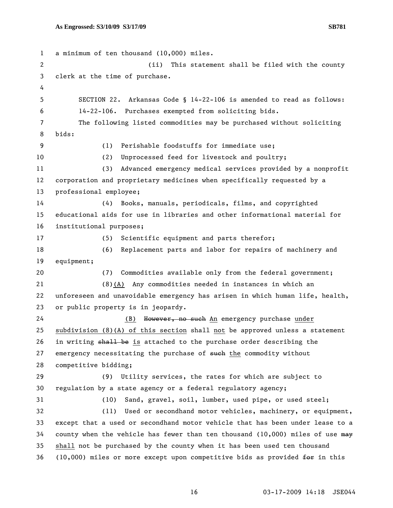1 a minimum of ten thousand (10,000) miles. 2 (ii) This statement shall be filed with the county 3 clerk at the time of purchase. 4 5 SECTION 22. Arkansas Code § 14-22-106 is amended to read as follows: 6 14-22-106. Purchases exempted from soliciting bids. 7 The following listed commodities may be purchased without soliciting 8 bids: 9 (1) Perishable foodstuffs for immediate use; 10 (2) Unprocessed feed for livestock and poultry; 11 (3) Advanced emergency medical services provided by a nonprofit 12 corporation and proprietary medicines when specifically requested by a 13 professional employee; 14 (4) Books, manuals, periodicals, films, and copyrighted 15 educational aids for use in libraries and other informational material for 16 institutional purposes; 17 (5) Scientific equipment and parts therefor; 18 (6) Replacement parts and labor for repairs of machinery and 19 equipment; 20 (7) Commodities available only from the federal government; 21 (8)(A) Any commodities needed in instances in which an 22 unforeseen and unavoidable emergency has arisen in which human life, health, 23 or public property is in jeopardy. 24 (B) However, no such An emergency purchase under 25 subdivision (8)(A) of this section shall not be approved unless a statement 26 in writing shall be is attached to the purchase order describing the 27 emergency necessitating the purchase of such the commodity without 28 competitive bidding; 29 (9) Utility services, the rates for which are subject to 30 regulation by a state agency or a federal regulatory agency; 31 (10) Sand, gravel, soil, lumber, used pipe, or used steel; 32 (11) Used or secondhand motor vehicles, machinery, or equipment, 33 except that a used or secondhand motor vehicle that has been under lease to a 34 county when the vehicle has fewer than ten thousand (10,000) miles of use may 35 shall not be purchased by the county when it has been used ten thousand 36 (10,000) miles or more except upon competitive bids as provided  $f^{\text{def}}$  in this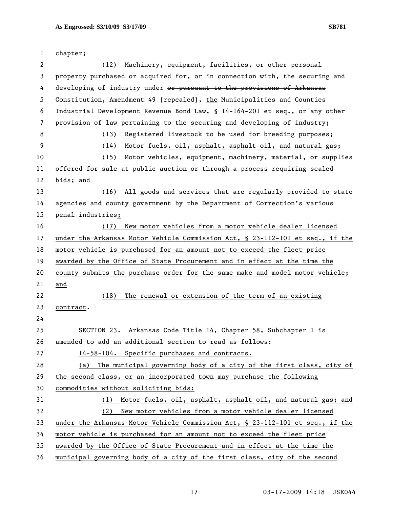| $\mathbf{1}$ | chapter;                                                                      |
|--------------|-------------------------------------------------------------------------------|
| 2            | Machinery, equipment, facilities, or other personal<br>(12)                   |
| 3            | property purchased or acquired for, or in connection with, the securing and   |
| 4            | developing of industry under or pursuant to the provisions of Arkansas        |
| 5            | Constitution, Amendment 49 [repealed], the Municipalities and Counties        |
| 6            | Industrial Development Revenue Bond Law, § 14-164-201 et seq., or any other   |
| 7            | provision of law pertaining to the securing and developing of industry;       |
| 8            | Registered livestock to be used for breeding purposes;<br>(13)                |
| 9            | Motor fuels, oil, asphalt, asphalt oil, and natural gas;<br>(14)              |
| 10           | Motor vehicles, equipment, machinery, material, or supplies<br>(15)           |
| 11           | offered for sale at public auction or through a process requiring sealed      |
| 12           | bids; and                                                                     |
| 13           | All goods and services that are regularly provided to state<br>(16)           |
| 14           | agencies and county government by the Department of Correction's various      |
| 15           | penal industries;                                                             |
| 16           | New motor vehicles from a motor vehicle dealer licensed<br>(17)               |
| 17           | under the Arkansas Motor Vehicle Commission Act, § 23-112-101 et seq., if the |
| 18           | motor vehicle is purchased for an amount not to exceed the fleet price        |
| 19           | awarded by the Office of State Procurement and in effect at the time the      |
| 20           | county submits the purchase order for the same make and model motor vehicle;  |
| 21           | and                                                                           |
| 22           | The renewal or extension of the term of an existing<br>(18)                   |
| 23           | contract.                                                                     |
| 24           |                                                                               |
| 25           | SECTION 23. Arkansas Code Title 14, Chapter 58, Subchapter 1 is               |
| 26           | amended to add an additional section to read as follows:                      |
| 27           | 14-58-104. Specific purchases and contracts.                                  |
| 28           | (a) The municipal governing body of a city of the first class, city of        |
| 29           | the second class, or an incorporated town may purchase the following          |
| 30           | commodities without soliciting bids:                                          |
| 31           | (1) Motor fuels, oil, asphalt, asphalt oil, and natural gas; and              |
| 32           | New motor vehicles from a motor vehicle dealer licensed<br>(2)                |
| 33           | under the Arkansas Motor Vehicle Commission Act, § 23-112-101 et seq., if the |
| 34           | motor vehicle is purchased for an amount not to exceed the fleet price        |
| 35           | awarded by the Office of State Procurement and in effect at the time the      |
| 36           | municipal governing body of a city of the first class, city of the second     |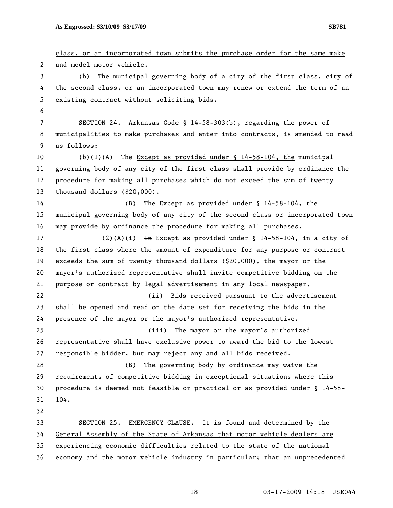1 class, or an incorporated town submits the purchase order for the same make 2 and model motor vehicle. 3 (b) The municipal governing body of a city of the first class, city of 4 the second class, or an incorporated town may renew or extend the term of an 5 existing contract without soliciting bids. 6 7 SECTION 24. Arkansas Code § 14-58-303(b), regarding the power of 8 municipalities to make purchases and enter into contracts, is amended to read 9 as follows: 10 (b)(1)(A) The Except as provided under § 14-58-104, the municipal 11 governing body of any city of the first class shall provide by ordinance the 12 procedure for making all purchases which do not exceed the sum of twenty 13 thousand dollars (\$20,000). 14 (B) The Except as provided under § 14-58-104, the 15 municipal governing body of any city of the second class or incorporated town 16 may provide by ordinance the procedure for making all purchases. 17 (2)(A)(i) In Except as provided under  $\S$  14-58-104, in a city of 18 the first class where the amount of expenditure for any purpose or contract 19 exceeds the sum of twenty thousand dollars (\$20,000), the mayor or the 20 mayor's authorized representative shall invite competitive bidding on the 21 purpose or contract by legal advertisement in any local newspaper. 22 (ii) Bids received pursuant to the advertisement 23 shall be opened and read on the date set for receiving the bids in the 24 presence of the mayor or the mayor's authorized representative. 25 (iii) The mayor or the mayor's authorized 26 representative shall have exclusive power to award the bid to the lowest 27 responsible bidder, but may reject any and all bids received. 28 (B) The governing body by ordinance may waive the 29 requirements of competitive bidding in exceptional situations where this 30 procedure is deemed not feasible or practical or as provided under § 14-58- 31 104. 32 33 SECTION 25. EMERGENCY CLAUSE. It is found and determined by the 34 General Assembly of the State of Arkansas that motor vehicle dealers are 35 experiencing economic difficulties related to the state of the national 36 economy and the motor vehicle industry in particular; that an unprecedented